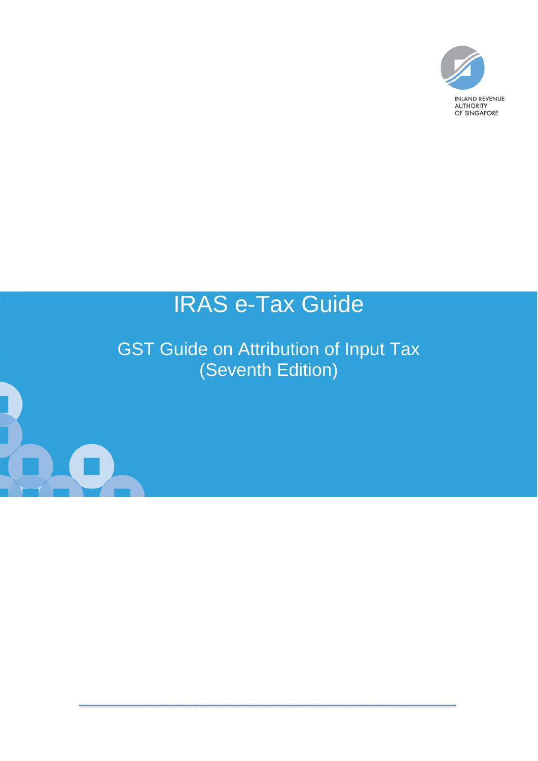

# IRAS e-Tax Guide

GST Guide on Attribution of Input Tax (Seventh Edition)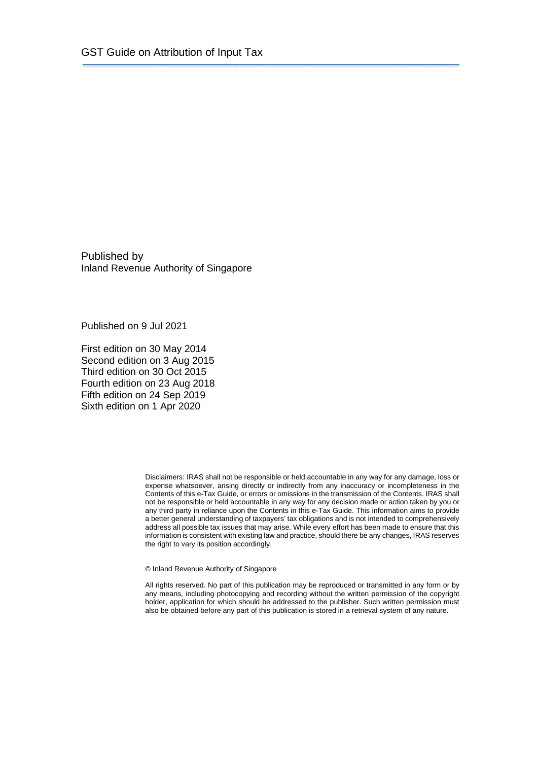Published by Inland Revenue Authority of Singapore

Published on 9 Jul 2021

First edition on 30 May 2014 Second edition on 3 Aug 2015 Third edition on 30 Oct 2015 Fourth edition on 23 Aug 2018 Fifth edition on 24 Sep 2019 Sixth edition on 1 Apr 2020

> Disclaimers: IRAS shall not be responsible or held accountable in any way for any damage, loss or expense whatsoever, arising directly or indirectly from any inaccuracy or incompleteness in the Contents of this e-Tax Guide, or errors or omissions in the transmission of the Contents. IRAS shall not be responsible or held accountable in any way for any decision made or action taken by you or any third party in reliance upon the Contents in this e-Tax Guide. This information aims to provide a better general understanding of taxpayers' tax obligations and is not intended to comprehensively address all possible tax issues that may arise. While every effort has been made to ensure that this information is consistent with existing law and practice, should there be any changes, IRAS reserves the right to vary its position accordingly.

© Inland Revenue Authority of Singapore

All rights reserved. No part of this publication may be reproduced or transmitted in any form or by any means, including photocopying and recording without the written permission of the copyright holder, application for which should be addressed to the publisher. Such written permission must also be obtained before any part of this publication is stored in a retrieval system of any nature.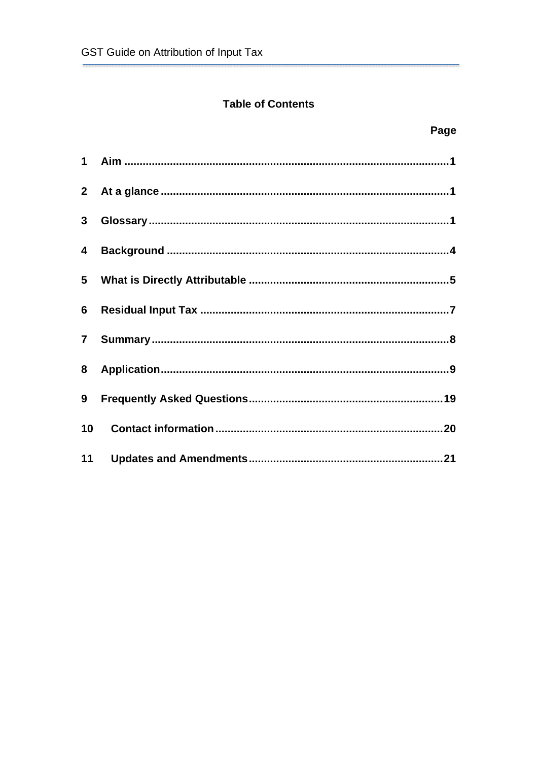## **Table of Contents**

| $\mathbf{3}$            |  |
|-------------------------|--|
| $\overline{\mathbf{4}}$ |  |
|                         |  |
|                         |  |
| $\mathbf{7}$            |  |
| 8                       |  |
| 9                       |  |
| 10                      |  |
| 11                      |  |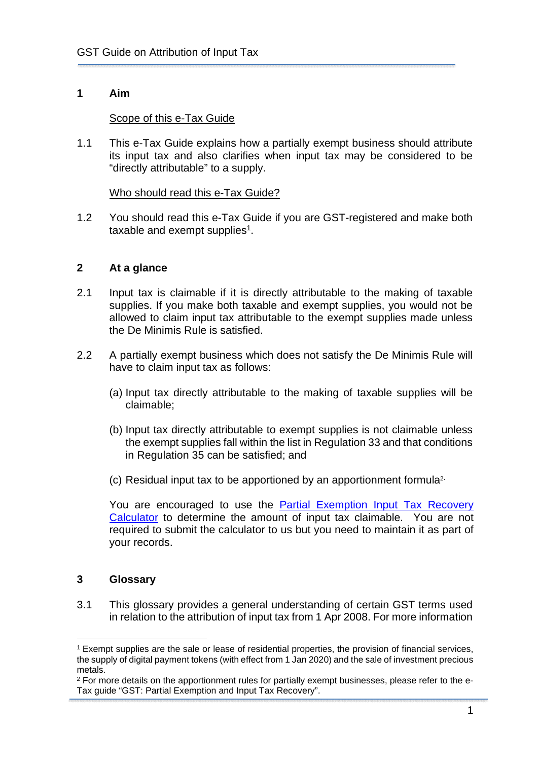## <span id="page-3-0"></span>**1 Aim**

## Scope of this e-Tax Guide

1.1 This e-Tax Guide explains how a partially exempt business should attribute its input tax and also clarifies when input tax may be considered to be "directly attributable" to a supply.

## Who should read this e-Tax Guide?

1.2 You should read this e-Tax Guide if you are GST-registered and make both taxable and exempt supplies<sup>1</sup>.

## <span id="page-3-1"></span>**2 At a glance**

- 2.1 Input tax is claimable if it is directly attributable to the making of taxable supplies. If you make both taxable and exempt supplies, you would not be allowed to claim input tax attributable to the exempt supplies made unless the De Minimis Rule is satisfied.
- 2.2 A partially exempt business which does not satisfy the De Minimis Rule will have to claim input tax as follows:
	- (a) Input tax directly attributable to the making of taxable supplies will be claimable;
	- (b) Input tax directly attributable to exempt supplies is not claimable unless the exempt supplies fall within the list in Regulation 33 and that conditions in Regulation 35 can be satisfied; and
	- (c) Residual input tax to be apportioned by an apportionment formula2.

You are encouraged to use the [Partial Exemption Input Tax Recovery](https://www.iras.gov.sg/irashome/uploadedFiles/IRASHome/GST/GST_Partial%20Exemption%20Input%20Tax%20Recovery%20Calculator.xls)  [Calculator](https://www.iras.gov.sg/irashome/uploadedFiles/IRASHome/GST/GST_Partial%20Exemption%20Input%20Tax%20Recovery%20Calculator.xls) to determine the amount of input tax claimable. You are not required to submit the calculator to us but you need to maintain it as part of your records.

## <span id="page-3-2"></span>**3 Glossary**

3.1 This glossary provides a general understanding of certain GST terms used in relation to the attribution of input tax from 1 Apr 2008. For more information

<sup>1</sup> Exempt supplies are the sale or lease of residential properties, the provision of financial services, the supply of digital payment tokens (with effect from 1 Jan 2020) and the sale of investment precious metals.

<sup>&</sup>lt;sup>2</sup> For more details on the apportionment rules for partially exempt businesses, please refer to the e-Tax guide "GST: Partial Exemption and Input Tax Recovery".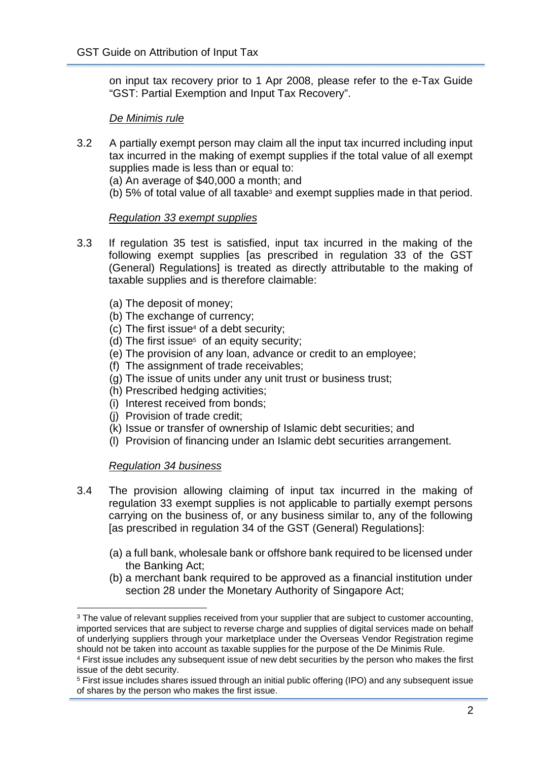on input tax recovery prior to 1 Apr 2008, please refer to the e-Tax Guide "GST: Partial Exemption and Input Tax Recovery".

## *De Minimis rule*

3.2 A partially exempt person may claim all the input tax incurred including input tax incurred in the making of exempt supplies if the total value of all exempt supplies made is less than or equal to:

(a) An average of \$40,000 a month; and

(b) 5% of total value of all taxable<sup>3</sup> and exempt supplies made in that period.

## *Regulation 33 exempt supplies*

- 3.3 If regulation 35 test is satisfied, input tax incurred in the making of the following exempt supplies [as prescribed in regulation 33 of the GST (General) Regulations] is treated as directly attributable to the making of taxable supplies and is therefore claimable:
	- (a) The deposit of money;
	- (b) The exchange of currency;
	- (c) The first issue<sup>4</sup> of a debt security;
	- (d) The first issue<sup>5</sup> of an equity security;
	- (e) The provision of any loan, advance or credit to an employee;
	- (f) The assignment of trade receivables;
	- (g) The issue of units under any unit trust or business trust;
	- (h) Prescribed hedging activities;
	- (i) Interest received from bonds;
	- (j) Provision of trade credit;
	- (k) Issue or transfer of ownership of Islamic debt securities; and
	- (l) Provision of financing under an Islamic debt securities arrangement.

## *Regulation 34 business*

- 3.4 The provision allowing claiming of input tax incurred in the making of regulation 33 exempt supplies is not applicable to partially exempt persons carrying on the business of, or any business similar to, any of the following [as prescribed in regulation 34 of the GST (General) Regulations]:
	- (a) a full bank, wholesale bank or offshore bank required to be licensed under the Banking Act;
	- (b) a merchant bank required to be approved as a financial institution under section 28 under the Monetary Authority of Singapore Act;

<sup>&</sup>lt;sup>3</sup> The value of relevant supplies received from your supplier that are subject to customer accounting, imported services that are subject to reverse charge and supplies of digital services made on behalf of underlying suppliers through your marketplace under the Overseas Vendor Registration regime should not be taken into account as taxable supplies for the purpose of the De Minimis Rule.

<sup>4</sup> First issue includes any subsequent issue of new debt securities by the person who makes the first issue of the debt security.

<sup>5</sup> First issue includes shares issued through an initial public offering (IPO) and any subsequent issue of shares by the person who makes the first issue.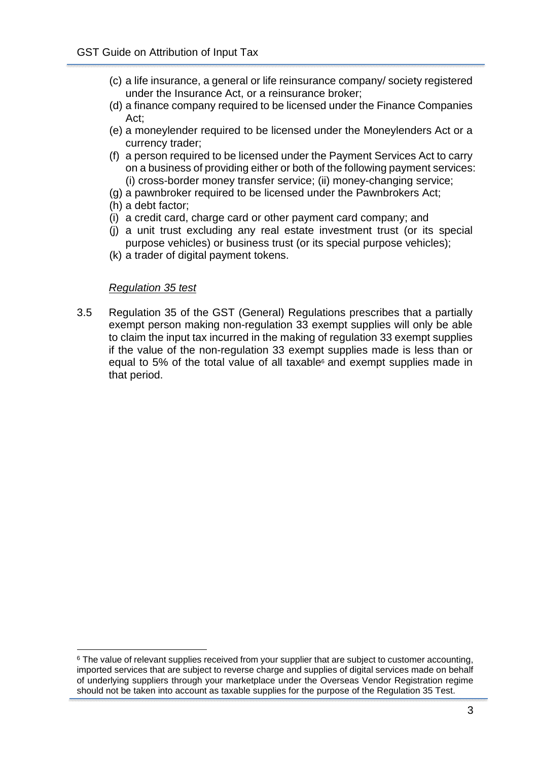- (c) a life insurance, a general or life reinsurance company/ society registered under the Insurance Act, or a reinsurance broker;
- (d) a finance company required to be licensed under the Finance Companies Act;
- (e) a moneylender required to be licensed under the Moneylenders Act or a currency trader;
- (f) a person required to be licensed under the Payment Services Act to carry on a business of providing either or both of the following payment services: (i) cross-border money transfer service; (ii) money-changing service;
- (g) a pawnbroker required to be licensed under the Pawnbrokers Act;
- (h) a debt factor;
- (i) a credit card, charge card or other payment card company; and
- (j) a unit trust excluding any real estate investment trust (or its special purpose vehicles) or business trust (or its special purpose vehicles);
- (k) a trader of digital payment tokens.

#### *Regulation 35 test*

3.5 Regulation 35 of the GST (General) Regulations prescribes that a partially exempt person making non-regulation 33 exempt supplies will only be able to claim the input tax incurred in the making of regulation 33 exempt supplies if the value of the non-regulation 33 exempt supplies made is less than or equal to 5% of the total value of all taxable $6$  and exempt supplies made in that period.

 $6$  The value of relevant supplies received from your supplier that are subject to customer accounting, imported services that are subject to reverse charge and supplies of digital services made on behalf of underlying suppliers through your marketplace under the Overseas Vendor Registration regime should not be taken into account as taxable supplies for the purpose of the Regulation 35 Test.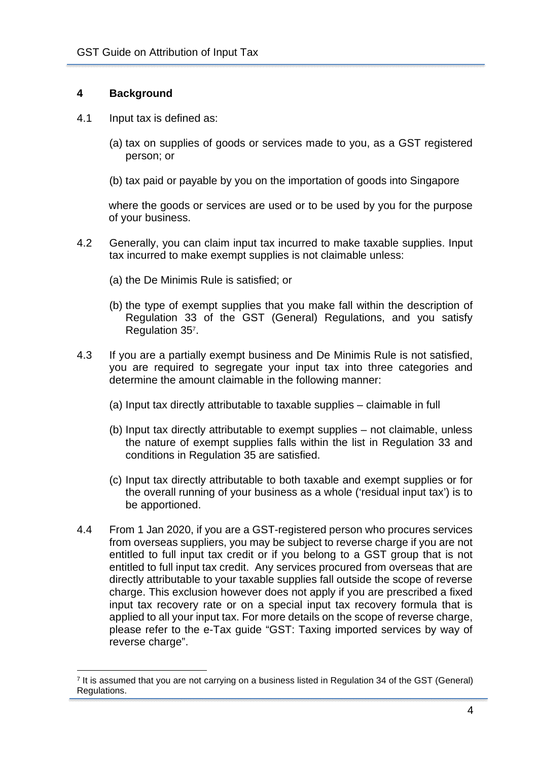## <span id="page-6-0"></span>**4 Background**

- 4.1 Input tax is defined as:
	- (a) tax on supplies of goods or services made to you, as a GST registered person; or
	- (b) tax paid or payable by you on the importation of goods into Singapore

where the goods or services are used or to be used by you for the purpose of your business.

- 4.2 Generally, you can claim input tax incurred to make taxable supplies. Input tax incurred to make exempt supplies is not claimable unless:
	- (a) the De Minimis Rule is satisfied; or
	- (b) the type of exempt supplies that you make fall within the description of Regulation 33 of the GST (General) Regulations, and you satisfy Regulation 35<sup>7</sup> .
- 4.3 If you are a partially exempt business and De Minimis Rule is not satisfied, you are required to segregate your input tax into three categories and determine the amount claimable in the following manner:
	- (a) Input tax directly attributable to taxable supplies claimable in full
	- (b) Input tax directly attributable to exempt supplies not claimable, unless the nature of exempt supplies falls within the list in Regulation 33 and conditions in Regulation 35 are satisfied.
	- (c) Input tax directly attributable to both taxable and exempt supplies or for the overall running of your business as a whole ('residual input tax') is to be apportioned.
- 4.4 From 1 Jan 2020, if you are a GST-registered person who procures services from overseas suppliers, you may be subject to reverse charge if you are not entitled to full input tax credit or if you belong to a GST group that is not entitled to full input tax credit. Any services procured from overseas that are directly attributable to your taxable supplies fall outside the scope of reverse charge. This exclusion however does not apply if you are prescribed a fixed input tax recovery rate or on a special input tax recovery formula that is applied to all your input tax. For more details on the scope of reverse charge, please refer to the e-Tax guide "GST: Taxing imported services by way of reverse charge".

<sup>7</sup> It is assumed that you are not carrying on a business listed in Regulation 34 of the GST (General) Regulations.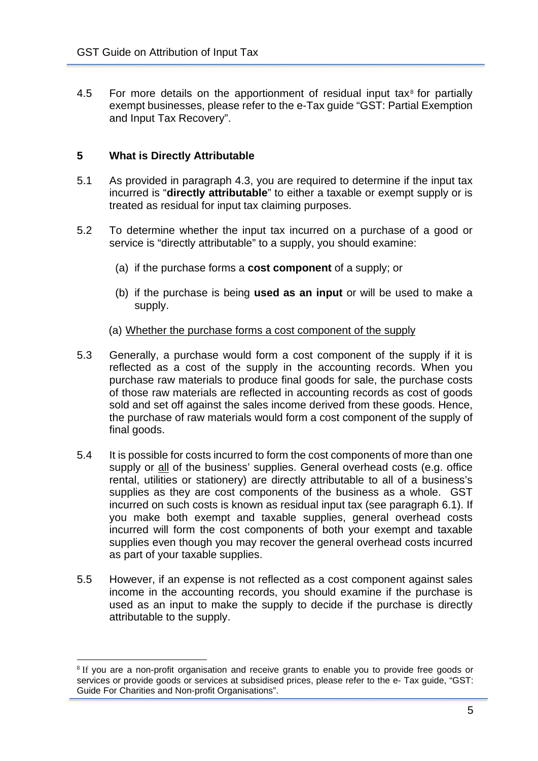$4.5$  For more details on the apportionment of residual input tax $8$  for partially exempt businesses, please refer to the e-Tax guide "GST: Partial Exemption and Input Tax Recovery".

## <span id="page-7-0"></span>**5 What is Directly Attributable**

- 5.1 As provided in paragraph 4.3, you are required to determine if the input tax incurred is "**directly attributable**" to either a taxable or exempt supply or is treated as residual for input tax claiming purposes.
- 5.2 To determine whether the input tax incurred on a purchase of a good or service is "directly attributable" to a supply, you should examine:
	- (a) if the purchase forms a **cost component** of a supply; or
	- (b) if the purchase is being **used as an input** or will be used to make a supply.
	- (a) Whether the purchase forms a cost component of the supply
- 5.3 Generally, a purchase would form a cost component of the supply if it is reflected as a cost of the supply in the accounting records. When you purchase raw materials to produce final goods for sale, the purchase costs of those raw materials are reflected in accounting records as cost of goods sold and set off against the sales income derived from these goods. Hence, the purchase of raw materials would form a cost component of the supply of final goods.
- 5.4 It is possible for costs incurred to form the cost components of more than one supply or all of the business' supplies. General overhead costs (e.g. office rental, utilities or stationery) are directly attributable to all of a business's supplies as they are cost components of the business as a whole. GST incurred on such costs is known as residual input tax (see paragraph 6.1). If you make both exempt and taxable supplies, general overhead costs incurred will form the cost components of both your exempt and taxable supplies even though you may recover the general overhead costs incurred as part of your taxable supplies.
- 5.5 However, if an expense is not reflected as a cost component against sales income in the accounting records, you should examine if the purchase is used as an input to make the supply to decide if the purchase is directly attributable to the supply.

<sup>&</sup>lt;sup>8</sup> If you are a non-profit organisation and receive grants to enable you to provide free goods or services or provide goods or services at subsidised prices, please refer to the e- Tax guide, "GST: Guide For Charities and Non-profit Organisations".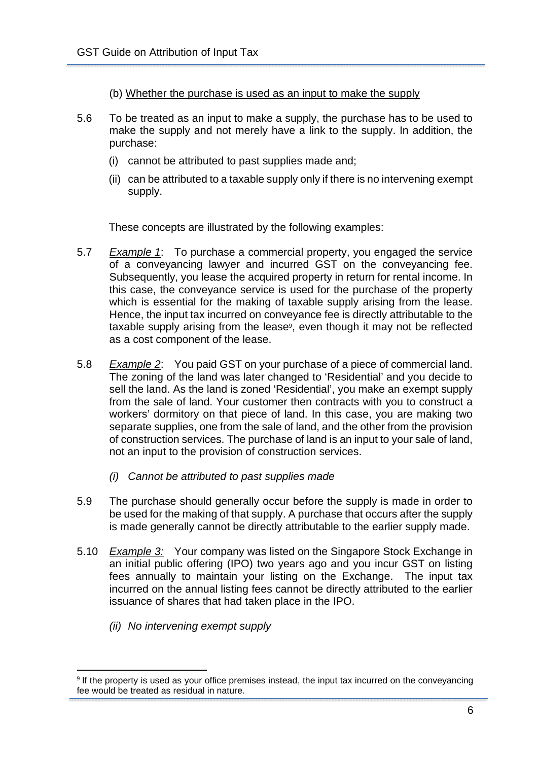- (b) Whether the purchase is used as an input to make the supply
- 5.6 To be treated as an input to make a supply, the purchase has to be used to make the supply and not merely have a link to the supply. In addition, the purchase:
	- (i) cannot be attributed to past supplies made and;
	- (ii) can be attributed to a taxable supply only if there is no intervening exempt supply.

These concepts are illustrated by the following examples:

- 5.7 *Example 1*: To purchase a commercial property, you engaged the service of a conveyancing lawyer and incurred GST on the conveyancing fee. Subsequently, you lease the acquired property in return for rental income. In this case, the conveyance service is used for the purchase of the property which is essential for the making of taxable supply arising from the lease. Hence, the input tax incurred on conveyance fee is directly attributable to the taxable supply arising from the lease<sup>9</sup>, even though it may not be reflected as a cost component of the lease.
- 5.8 *Example 2*: You paid GST on your purchase of a piece of commercial land. The zoning of the land was later changed to 'Residential' and you decide to sell the land. As the land is zoned 'Residential', you make an exempt supply from the sale of land. Your customer then contracts with you to construct a workers' dormitory on that piece of land. In this case, you are making two separate supplies, one from the sale of land, and the other from the provision of construction services. The purchase of land is an input to your sale of land, not an input to the provision of construction services.
	- *(i) Cannot be attributed to past supplies made*
- 5.9 The purchase should generally occur before the supply is made in order to be used for the making of that supply. A purchase that occurs after the supply is made generally cannot be directly attributable to the earlier supply made.
- 5.10 *Example 3:* Your company was listed on the Singapore Stock Exchange in an initial public offering (IPO) two years ago and you incur GST on listing fees annually to maintain your listing on the Exchange. The input tax incurred on the annual listing fees cannot be directly attributed to the earlier issuance of shares that had taken place in the IPO.
	- *(ii) No intervening exempt supply*

<sup>&</sup>lt;sup>9</sup> If the property is used as your office premises instead, the input tax incurred on the conveyancing fee would be treated as residual in nature.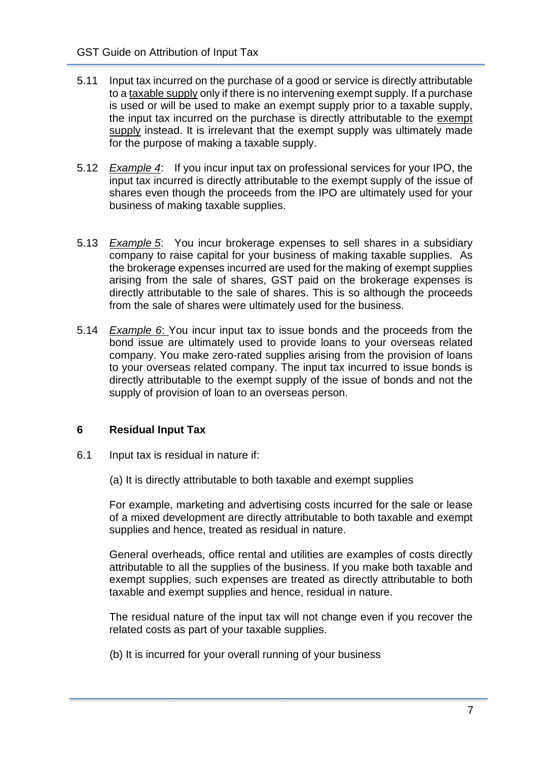- 5.11 Input tax incurred on the purchase of a good or service is directly attributable to a taxable supply only if there is no intervening exempt supply. If a purchase is used or will be used to make an exempt supply prior to a taxable supply, the input tax incurred on the purchase is directly attributable to the exempt supply instead. It is irrelevant that the exempt supply was ultimately made for the purpose of making a taxable supply.
- 5.12 *Example 4*: If you incur input tax on professional services for your IPO, the input tax incurred is directly attributable to the exempt supply of the issue of shares even though the proceeds from the IPO are ultimately used for your business of making taxable supplies.
- 5.13 *Example 5*: You incur brokerage expenses to sell shares in a subsidiary company to raise capital for your business of making taxable supplies. As the brokerage expenses incurred are used for the making of exempt supplies arising from the sale of shares, GST paid on the brokerage expenses is directly attributable to the sale of shares. This is so although the proceeds from the sale of shares were ultimately used for the business.
- 5.14 *Example 6*: You incur input tax to issue bonds and the proceeds from the bond issue are ultimately used to provide loans to your overseas related company. You make zero-rated supplies arising from the provision of loans to your overseas related company. The input tax incurred to issue bonds is directly attributable to the exempt supply of the issue of bonds and not the supply of provision of loan to an overseas person.

## <span id="page-9-0"></span>**6 Residual Input Tax**

- 6.1 Input tax is residual in nature if:
	- (a) It is directly attributable to both taxable and exempt supplies

For example, marketing and advertising costs incurred for the sale or lease of a mixed development are directly attributable to both taxable and exempt supplies and hence, treated as residual in nature.

General overheads, office rental and utilities are examples of costs directly attributable to all the supplies of the business. If you make both taxable and exempt supplies, such expenses are treated as directly attributable to both taxable and exempt supplies and hence, residual in nature.

The residual nature of the input tax will not change even if you recover the related costs as part of your taxable supplies.

(b) It is incurred for your overall running of your business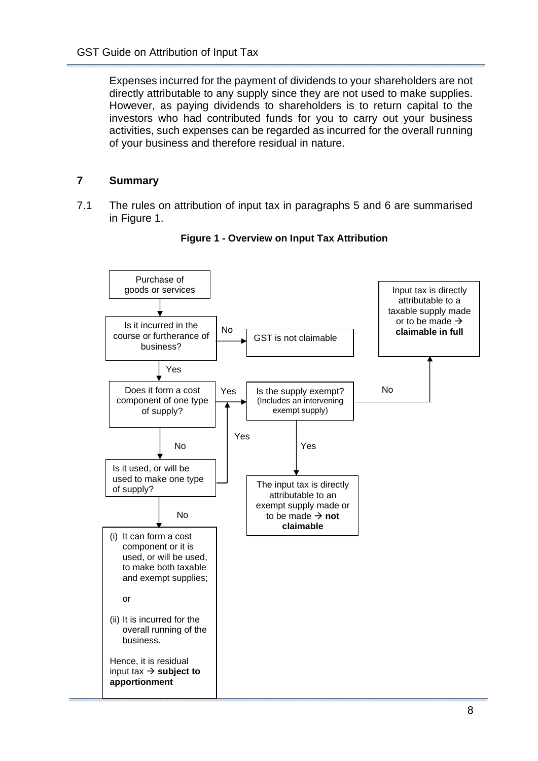Expenses incurred for the payment of dividends to your shareholders are not directly attributable to any supply since they are not used to make supplies. However, as paying dividends to shareholders is to return capital to the investors who had contributed funds for you to carry out your business activities, such expenses can be regarded as incurred for the overall running of your business and therefore residual in nature.

## <span id="page-10-0"></span>**7 Summary**

7.1 The rules on attribution of input tax in paragraphs 5 and 6 are summarised in Figure 1.



**Figure 1 - Overview on Input Tax Attribution**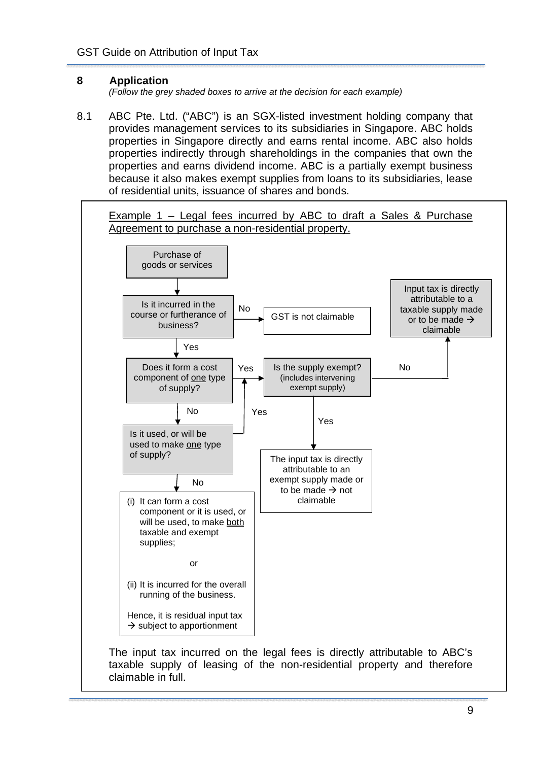## <span id="page-11-0"></span>**8 Application**

*(Follow the grey shaded boxes to arrive at the decision for each example)* 

8.1 ABC Pte. Ltd. ("ABC") is an SGX-listed investment holding company that provides management services to its subsidiaries in Singapore. ABC holds properties in Singapore directly and earns rental income. ABC also holds properties indirectly through shareholdings in the companies that own the properties and earns dividend income. ABC is a partially exempt business because it also makes exempt supplies from loans to its subsidiaries, lease of residential units, issuance of shares and bonds.



The input tax incurred on the legal fees is directly attributable to ABC's taxable supply of leasing of the non-residential property and therefore claimable in full.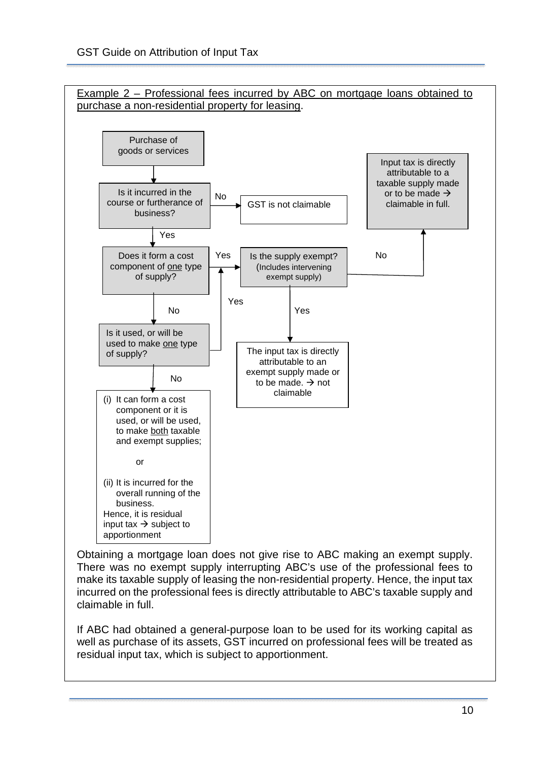

Obtaining a mortgage loan does not give rise to ABC making an exempt supply. There was no exempt supply interrupting ABC's use of the professional fees to make its taxable supply of leasing the non-residential property. Hence, the input tax incurred on the professional fees is directly attributable to ABC's taxable supply and claimable in full.

If ABC had obtained a general-purpose loan to be used for its working capital as well as purchase of its assets, GST incurred on professional fees will be treated as residual input tax, which is subject to apportionment.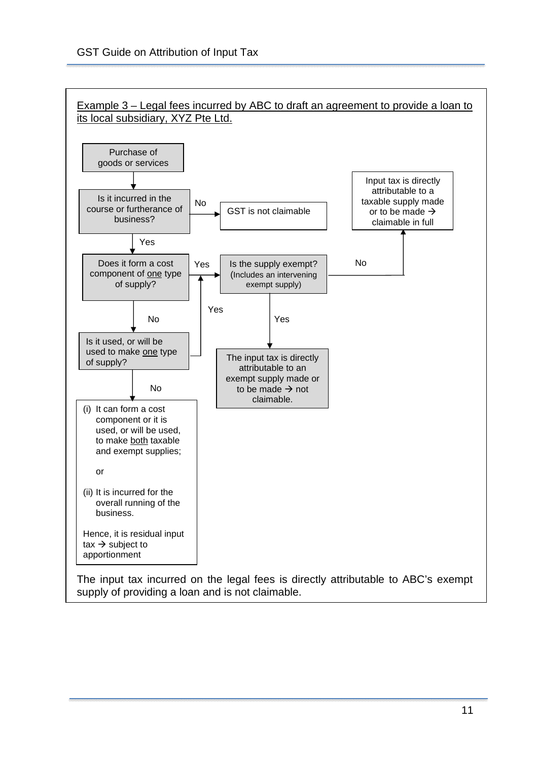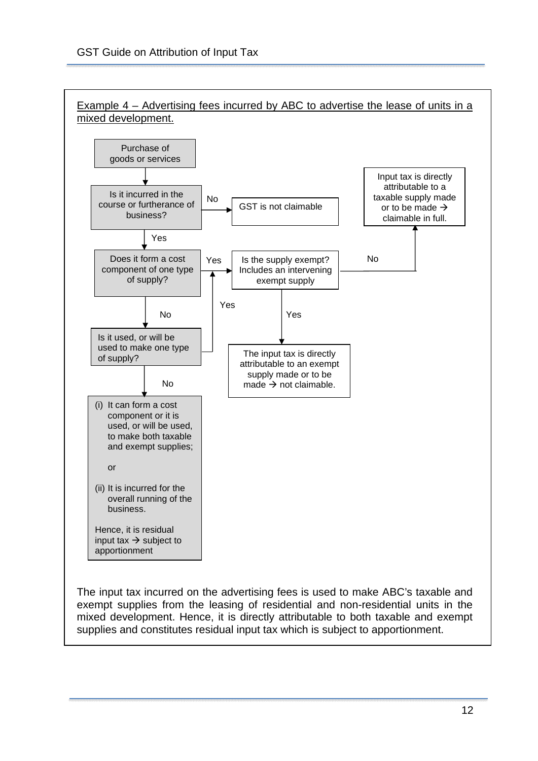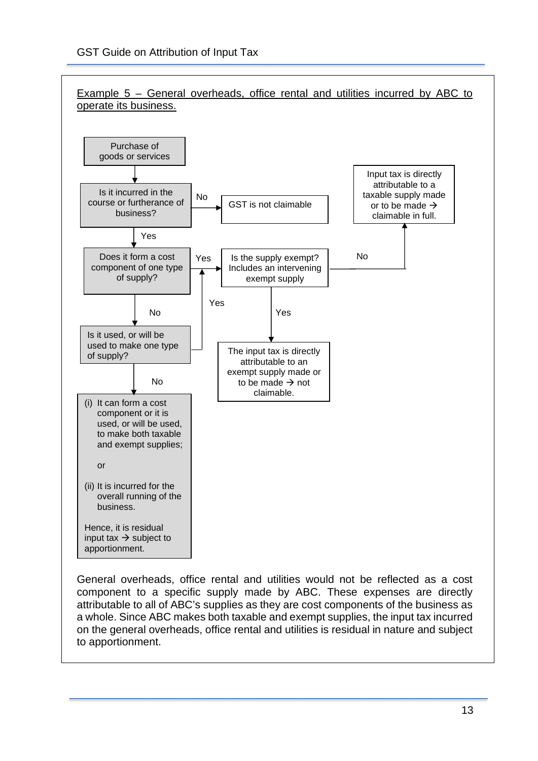

General overheads, office rental and utilities would not be reflected as a cost component to a specific supply made by ABC. These expenses are directly attributable to all of ABC's supplies as they are cost components of the business as a whole. Since ABC makes both taxable and exempt supplies, the input tax incurred on the general overheads, office rental and utilities is residual in nature and subject to apportionment.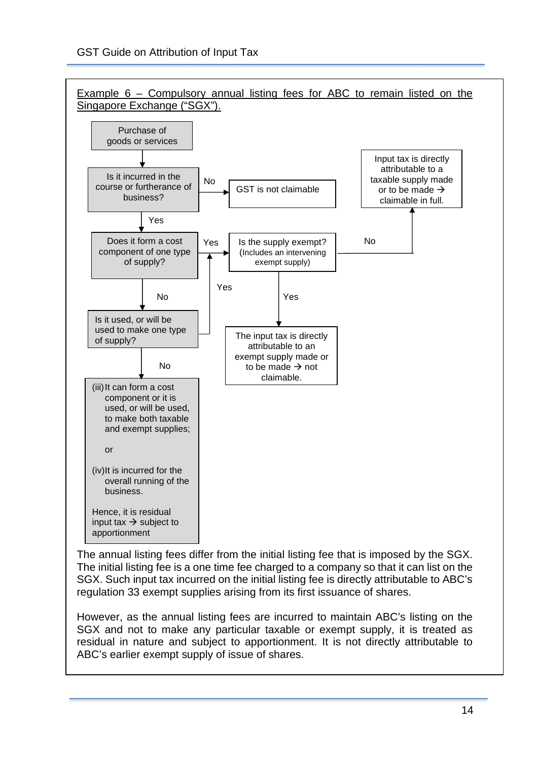

The annual listing fees differ from the initial listing fee that is imposed by the SGX. The initial listing fee is a one time fee charged to a company so that it can list on the SGX. Such input tax incurred on the initial listing fee is directly attributable to ABC's regulation 33 exempt supplies arising from its first issuance of shares.

However, as the annual listing fees are incurred to maintain ABC's listing on the SGX and not to make any particular taxable or exempt supply, it is treated as residual in nature and subject to apportionment. It is not directly attributable to ABC's earlier exempt supply of issue of shares.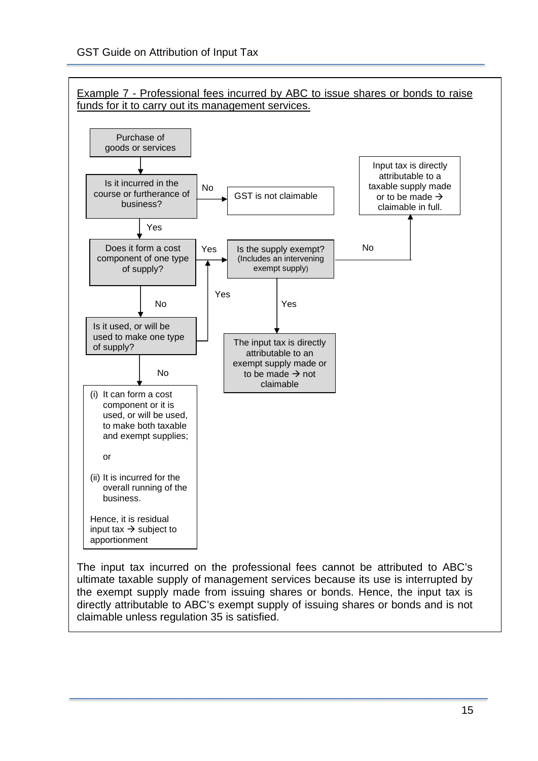

ultimate taxable supply of management services because its use is interrupted by the exempt supply made from issuing shares or bonds. Hence, the input tax is directly attributable to ABC's exempt supply of issuing shares or bonds and is not claimable unless regulation 35 is satisfied.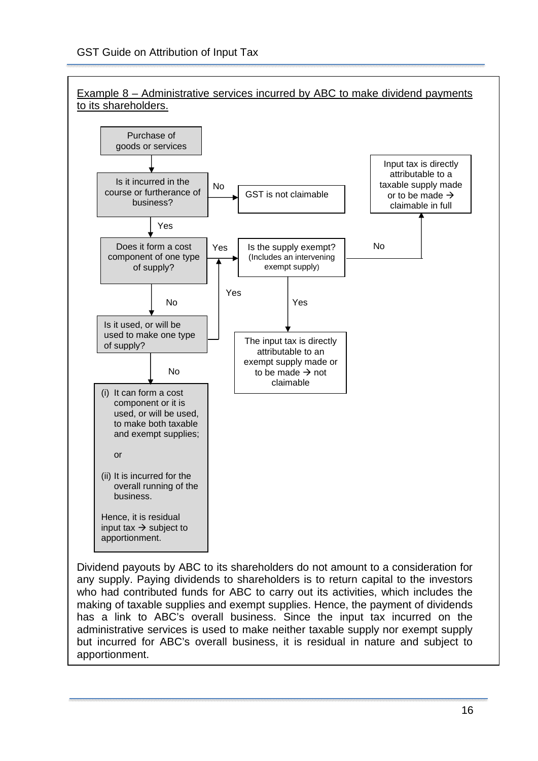

Dividend payouts by ABC to its shareholders do not amount to a consideration for any supply. Paying dividends to shareholders is to return capital to the investors who had contributed funds for ABC to carry out its activities, which includes the making of taxable supplies and exempt supplies. Hence, the payment of dividends has a link to ABC's overall business. Since the input tax incurred on the administrative services is used to make neither taxable supply nor exempt supply but incurred for ABC's overall business, it is residual in nature and subject to apportionment.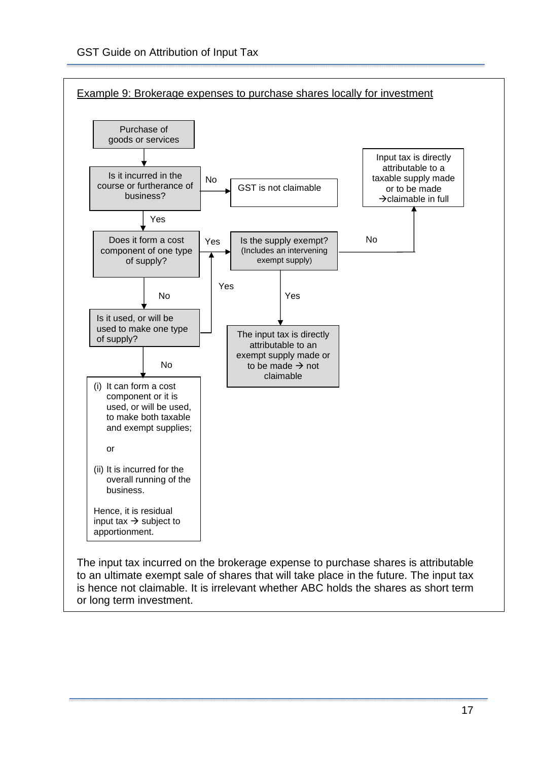

to an ultimate exempt sale of shares that will take place in the future. The input tax is hence not claimable. It is irrelevant whether ABC holds the shares as short term or long term investment.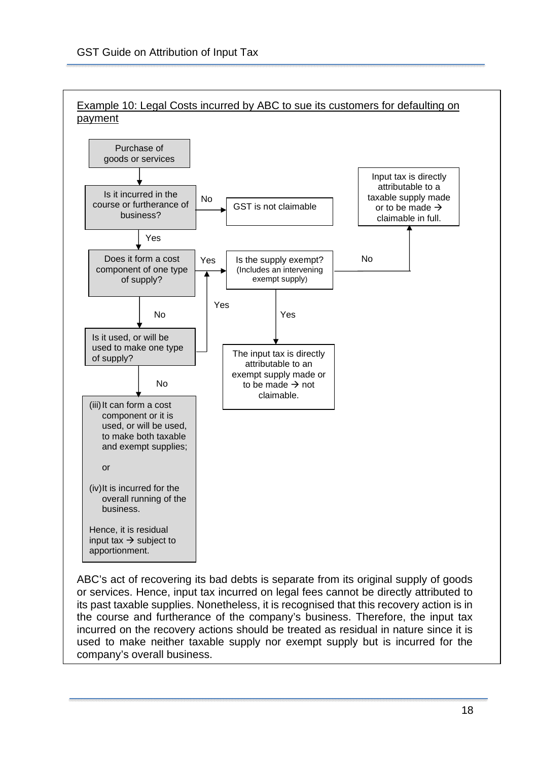

ABC's act of recovering its bad debts is separate from its original supply of goods or services. Hence, input tax incurred on legal fees cannot be directly attributed to its past taxable supplies. Nonetheless, it is recognised that this recovery action is in the course and furtherance of the company's business. Therefore, the input tax incurred on the recovery actions should be treated as residual in nature since it is used to make neither taxable supply nor exempt supply but is incurred for the company's overall business.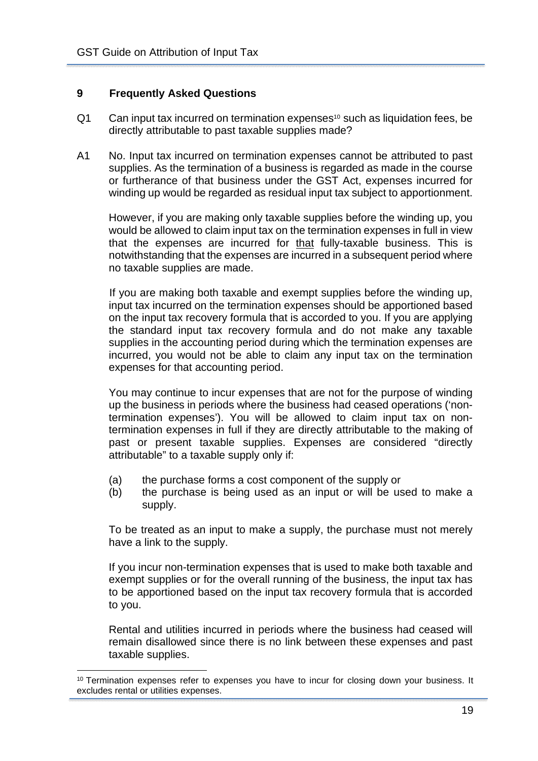## <span id="page-21-0"></span>**9 Frequently Asked Questions**

- $Q1$  Can input tax incurred on termination expenses<sup>10</sup> such as liquidation fees, be directly attributable to past taxable supplies made?
- A1 No. Input tax incurred on termination expenses cannot be attributed to past supplies. As the termination of a business is regarded as made in the course or furtherance of that business under the GST Act, expenses incurred for winding up would be regarded as residual input tax subject to apportionment.

 However, if you are making only taxable supplies before the winding up, you would be allowed to claim input tax on the termination expenses in full in view that the expenses are incurred for that fully-taxable business. This is notwithstanding that the expenses are incurred in a subsequent period where no taxable supplies are made.

 If you are making both taxable and exempt supplies before the winding up, input tax incurred on the termination expenses should be apportioned based on the input tax recovery formula that is accorded to you. If you are applying the standard input tax recovery formula and do not make any taxable supplies in the accounting period during which the termination expenses are incurred, you would not be able to claim any input tax on the termination expenses for that accounting period.

You may continue to incur expenses that are not for the purpose of winding up the business in periods where the business had ceased operations ('nontermination expenses'). You will be allowed to claim input tax on nontermination expenses in full if they are directly attributable to the making of past or present taxable supplies. Expenses are considered "directly attributable" to a taxable supply only if:

- (a) the purchase forms a cost component of the supply or
- (b) the purchase is being used as an input or will be used to make a supply.

To be treated as an input to make a supply, the purchase must not merely have a link to the supply.

If you incur non-termination expenses that is used to make both taxable and exempt supplies or for the overall running of the business, the input tax has to be apportioned based on the input tax recovery formula that is accorded to you.

Rental and utilities incurred in periods where the business had ceased will remain disallowed since there is no link between these expenses and past taxable supplies.

 $10$  Termination expenses refer to expenses you have to incur for closing down your business. It excludes rental or utilities expenses.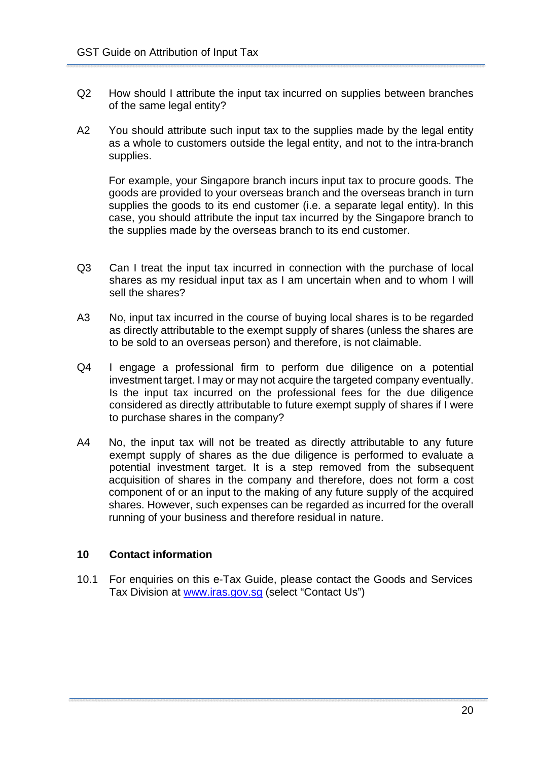- Q2 How should I attribute the input tax incurred on supplies between branches of the same legal entity?
- A2 You should attribute such input tax to the supplies made by the legal entity as a whole to customers outside the legal entity, and not to the intra-branch supplies.

For example, your Singapore branch incurs input tax to procure goods. The goods are provided to your overseas branch and the overseas branch in turn supplies the goods to its end customer (i.e. a separate legal entity). In this case, you should attribute the input tax incurred by the Singapore branch to the supplies made by the overseas branch to its end customer.

- Q3 Can I treat the input tax incurred in connection with the purchase of local shares as my residual input tax as I am uncertain when and to whom I will sell the shares?
- A3 No, input tax incurred in the course of buying local shares is to be regarded as directly attributable to the exempt supply of shares (unless the shares are to be sold to an overseas person) and therefore, is not claimable.
- Q4 I engage a professional firm to perform due diligence on a potential investment target. I may or may not acquire the targeted company eventually. Is the input tax incurred on the professional fees for the due diligence considered as directly attributable to future exempt supply of shares if I were to purchase shares in the company?
- A4 No, the input tax will not be treated as directly attributable to any future exempt supply of shares as the due diligence is performed to evaluate a potential investment target. It is a step removed from the subsequent acquisition of shares in the company and therefore, does not form a cost component of or an input to the making of any future supply of the acquired shares. However, such expenses can be regarded as incurred for the overall running of your business and therefore residual in nature.

## <span id="page-22-0"></span>**10 Contact information**

10.1 For enquiries on this e-Tax Guide, please contact the Goods and Services Tax Division at [www.iras.gov.sg](http://www.iras.gov.sg/) (select "Contact Us")